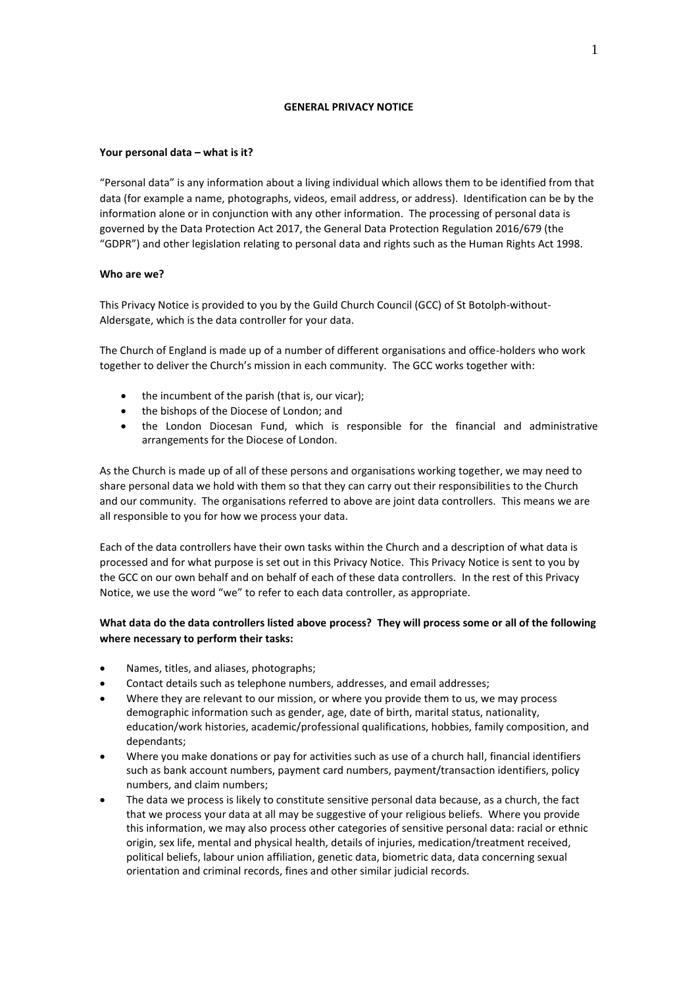### **GENERAL PRIVACY NOTICE**

## **Your personal data – what is it?**

"Personal data" is any information about a living individual which allows them to be identified from that data (for example a name, photographs, videos, email address, or address). Identification can be by the information alone or in conjunction with any other information. The processing of personal data is governed by the Data Protection Act 2017, the General Data Protection Regulation 2016/679 (the "GDPR") and other legislation relating to personal data and rights such as the Human Rights Act 1998.

## **Who are we?**

This Privacy Notice is provided to you by the Guild Church Council (GCC) of St Botolph-without-Aldersgate, which is the data controller for your data.

The Church of England is made up of a number of different organisations and office-holders who work together to deliver the Church's mission in each community. The GCC works together with:

- the incumbent of the parish (that is, our vicar);
- the bishops of the Diocese of London; and
- the London Diocesan Fund, which is responsible for the financial and administrative arrangements for the Diocese of London.

As the Church is made up of all of these persons and organisations working together, we may need to share personal data we hold with them so that they can carry out their responsibilities to the Church and our community. The organisations referred to above are joint data controllers. This means we are all responsible to you for how we process your data.

Each of the data controllers have their own tasks within the Church and a description of what data is processed and for what purpose is set out in this Privacy Notice. This Privacy Notice is sent to you by the GCC on our own behalf and on behalf of each of these data controllers. In the rest of this Privacy Notice, we use the word "we" to refer to each data controller, as appropriate.

# **What data do the data controllers listed above process? They will process some or all of the following where necessary to perform their tasks:**

- Names, titles, and aliases, photographs;
- Contact details such as telephone numbers, addresses, and email addresses;
- Where they are relevant to our mission, or where you provide them to us, we may process demographic information such as gender, age, date of birth, marital status, nationality, education/work histories, academic/professional qualifications, hobbies, family composition, and dependants;
- Where you make donations or pay for activities such as use of a church hall, financial identifiers such as bank account numbers, payment card numbers, payment/transaction identifiers, policy numbers, and claim numbers;
- The data we process is likely to constitute sensitive personal data because, as a church, the fact that we process your data at all may be suggestive of your religious beliefs. Where you provide this information, we may also process other categories of sensitive personal data: racial or ethnic origin, sex life, mental and physical health, details of injuries, medication/treatment received, political beliefs, labour union affiliation, genetic data, biometric data, data concerning sexual orientation and criminal records, fines and other similar judicial records.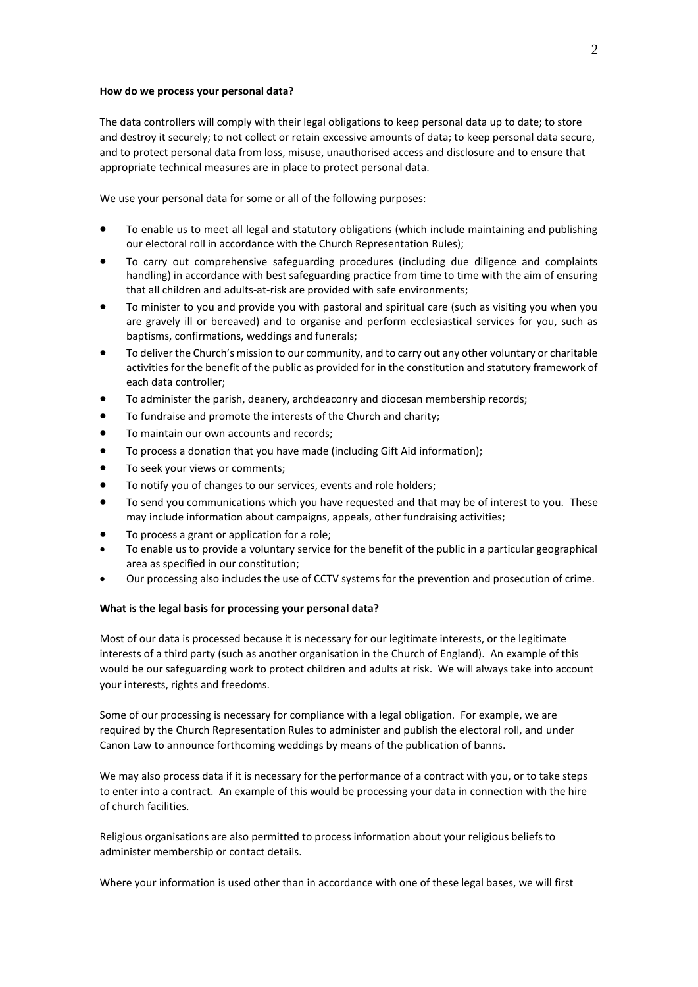#### **How do we process your personal data?**

The data controllers will comply with their legal obligations to keep personal data up to date; to store and destroy it securely; to not collect or retain excessive amounts of data; to keep personal data secure, and to protect personal data from loss, misuse, unauthorised access and disclosure and to ensure that appropriate technical measures are in place to protect personal data.

We use your personal data for some or all of the following purposes:

- To enable us to meet all legal and statutory obligations (which include maintaining and publishing our electoral roll in accordance with the Church Representation Rules);
- To carry out comprehensive safeguarding procedures (including due diligence and complaints handling) in accordance with best safeguarding practice from time to time with the aim of ensuring that all children and adults-at-risk are provided with safe environments;
- To minister to you and provide you with pastoral and spiritual care (such as visiting you when you are gravely ill or bereaved) and to organise and perform ecclesiastical services for you, such as baptisms, confirmations, weddings and funerals;
- To deliver the Church's mission to our community, and to carry out any other voluntary or charitable activities for the benefit of the public as provided for in the constitution and statutory framework of each data controller;
- To administer the parish, deanery, archdeaconry and diocesan membership records;
- To fundraise and promote the interests of the Church and charity;
- To maintain our own accounts and records;
- To process a donation that you have made (including Gift Aid information);
- To seek your views or comments;
- To notify you of changes to our services, events and role holders;
- To send you communications which you have requested and that may be of interest to you. These may include information about campaigns, appeals, other fundraising activities;
- To process a grant or application for a role;
- To enable us to provide a voluntary service for the benefit of the public in a particular geographical area as specified in our constitution;
- Our processing also includes the use of CCTV systems for the prevention and prosecution of crime.

### **What is the legal basis for processing your personal data?**

Most of our data is processed because it is necessary for our legitimate interests, or the legitimate interests of a third party (such as another organisation in the Church of England). An example of this would be our safeguarding work to protect children and adults at risk. We will always take into account your interests, rights and freedoms.

Some of our processing is necessary for compliance with a legal obligation. For example, we are required by the Church Representation Rules to administer and publish the electoral roll, and under Canon Law to announce forthcoming weddings by means of the publication of banns.

We may also process data if it is necessary for the performance of a contract with you, or to take steps to enter into a contract. An example of this would be processing your data in connection with the hire of church facilities.

Religious organisations are also permitted to process information about your religious beliefs to administer membership or contact details.

Where your information is used other than in accordance with one of these legal bases, we will first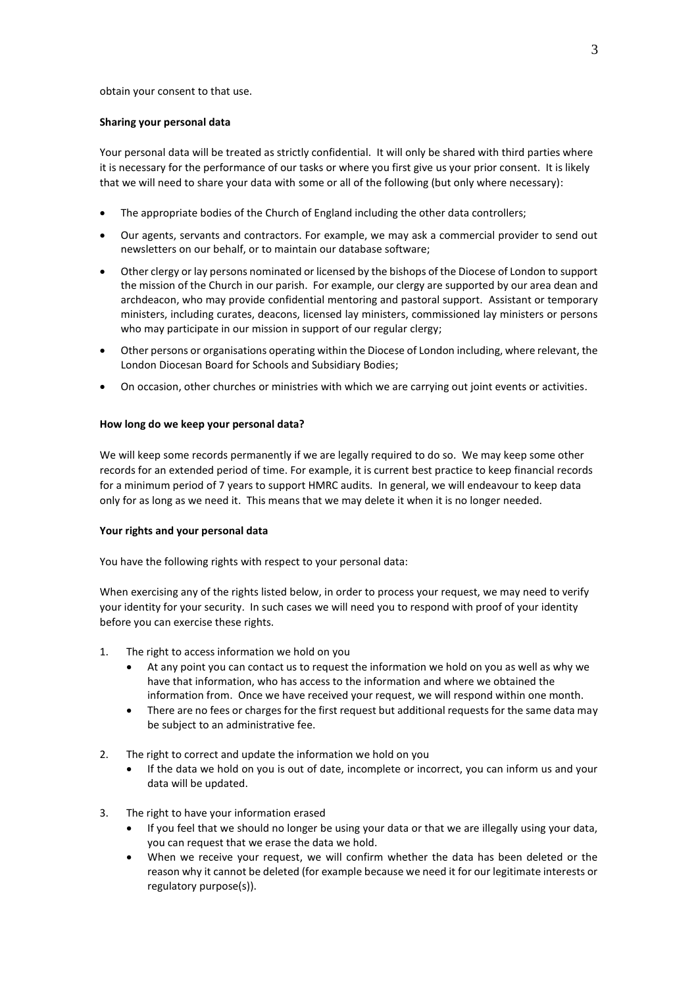#### obtain your consent to that use.

#### **Sharing your personal data**

Your personal data will be treated as strictly confidential. It will only be shared with third parties where it is necessary for the performance of our tasks or where you first give us your prior consent. It is likely that we will need to share your data with some or all of the following (but only where necessary):

- The appropriate bodies of the Church of England including the other data controllers;
- Our agents, servants and contractors. For example, we may ask a commercial provider to send out newsletters on our behalf, or to maintain our database software;
- Other clergy or lay persons nominated or licensed by the bishops of the Diocese of London to support the mission of the Church in our parish. For example, our clergy are supported by our area dean and archdeacon, who may provide confidential mentoring and pastoral support. Assistant or temporary ministers, including curates, deacons, licensed lay ministers, commissioned lay ministers or persons who may participate in our mission in support of our regular clergy;
- Other persons or organisations operating within the Diocese of London including, where relevant, the London Diocesan Board for Schools and Subsidiary Bodies;
- On occasion, other churches or ministries with which we are carrying out joint events or activities.

### **How long do we keep your personal data?**

We will keep some records permanently if we are legally required to do so. We may keep some other records for an extended period of time. For example, it is current best practice to keep financial records for a minimum period of 7 years to support HMRC audits. In general, we will endeavour to keep data only for as long as we need it. This means that we may delete it when it is no longer needed.

### **Your rights and your personal data**

You have the following rights with respect to your personal data:

When exercising any of the rights listed below, in order to process your request, we may need to verify your identity for your security. In such cases we will need you to respond with proof of your identity before you can exercise these rights.

- 1. The right to access information we hold on you
	- At any point you can contact us to request the information we hold on you as well as why we have that information, who has access to the information and where we obtained the information from. Once we have received your request, we will respond within one month.
	- There are no fees or charges for the first request but additional requests for the same data may be subject to an administrative fee.
- 2. The right to correct and update the information we hold on you
	- If the data we hold on you is out of date, incomplete or incorrect, you can inform us and your data will be updated.
- 3. The right to have your information erased
	- If you feel that we should no longer be using your data or that we are illegally using your data, you can request that we erase the data we hold.
	- When we receive your request, we will confirm whether the data has been deleted or the reason why it cannot be deleted (for example because we need it for our legitimate interests or regulatory purpose(s)).